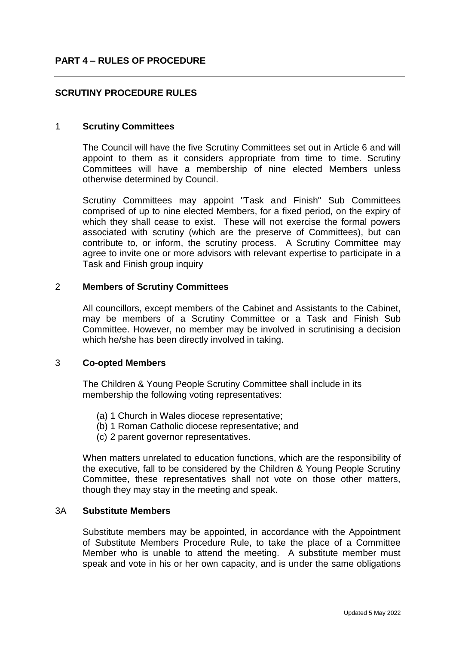# **PART 4 – RULES OF PROCEDURE**

#### **SCRUTINY PROCEDURE RULES**

#### 1 **Scrutiny Committees**

The Council will have the five Scrutiny Committees set out in Article 6 and will appoint to them as it considers appropriate from time to time. Scrutiny Committees will have a membership of nine elected Members unless otherwise determined by Council.

Scrutiny Committees may appoint "Task and Finish" Sub Committees comprised of up to nine elected Members, for a fixed period, on the expiry of which they shall cease to exist. These will not exercise the formal powers associated with scrutiny (which are the preserve of Committees), but can contribute to, or inform, the scrutiny process. A Scrutiny Committee may agree to invite one or more advisors with relevant expertise to participate in a Task and Finish group inquiry

#### 2 **Members of Scrutiny Committees**

All councillors, except members of the Cabinet and Assistants to the Cabinet, may be members of a Scrutiny Committee or a Task and Finish Sub Committee. However, no member may be involved in scrutinising a decision which he/she has been directly involved in taking.

#### 3 **Co-opted Members**

The Children & Young People Scrutiny Committee shall include in its membership the following voting representatives:

- (a) 1 Church in Wales diocese representative;
- (b) 1 Roman Catholic diocese representative; and
- (c) 2 parent governor representatives.

When matters unrelated to education functions, which are the responsibility of the executive, fall to be considered by the Children & Young People Scrutiny Committee, these representatives shall not vote on those other matters, though they may stay in the meeting and speak.

#### 3A **Substitute Members**

Substitute members may be appointed, in accordance with the Appointment of Substitute Members Procedure Rule, to take the place of a Committee Member who is unable to attend the meeting. A substitute member must speak and vote in his or her own capacity, and is under the same obligations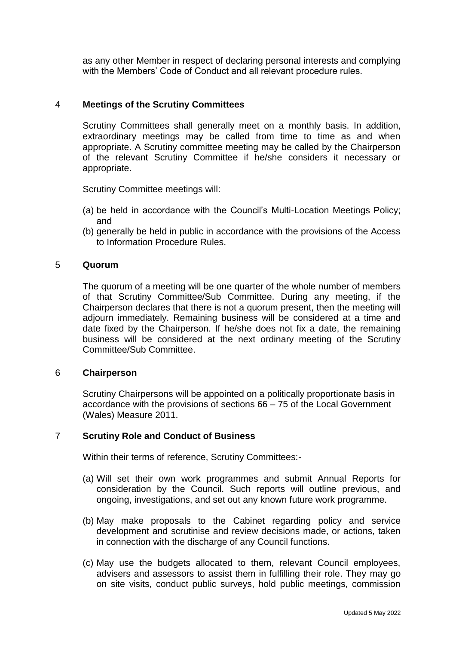as any other Member in respect of declaring personal interests and complying with the Members' Code of Conduct and all relevant procedure rules.

## 4 **Meetings of the Scrutiny Committees**

Scrutiny Committees shall generally meet on a monthly basis. In addition, extraordinary meetings may be called from time to time as and when appropriate. A Scrutiny committee meeting may be called by the Chairperson of the relevant Scrutiny Committee if he/she considers it necessary or appropriate.

Scrutiny Committee meetings will:

- (a) be held in accordance with the Council's Multi-Location Meetings Policy; and
- (b) generally be held in public in accordance with the provisions of the Access to Information Procedure Rules.

#### 5 **Quorum**

The quorum of a meeting will be one quarter of the whole number of members of that Scrutiny Committee/Sub Committee. During any meeting, if the Chairperson declares that there is not a quorum present, then the meeting will adjourn immediately. Remaining business will be considered at a time and date fixed by the Chairperson. If he/she does not fix a date, the remaining business will be considered at the next ordinary meeting of the Scrutiny Committee/Sub Committee.

#### 6 **Chairperson**

Scrutiny Chairpersons will be appointed on a politically proportionate basis in accordance with the provisions of sections 66 – 75 of the Local Government (Wales) Measure 2011.

## 7 **Scrutiny Role and Conduct of Business**

Within their terms of reference, Scrutiny Committees:-

- (a) Will set their own work programmes and submit Annual Reports for consideration by the Council. Such reports will outline previous, and ongoing, investigations, and set out any known future work programme.
- (b) May make proposals to the Cabinet regarding policy and service development and scrutinise and review decisions made, or actions, taken in connection with the discharge of any Council functions.
- (c) May use the budgets allocated to them, relevant Council employees, advisers and assessors to assist them in fulfilling their role. They may go on site visits, conduct public surveys, hold public meetings, commission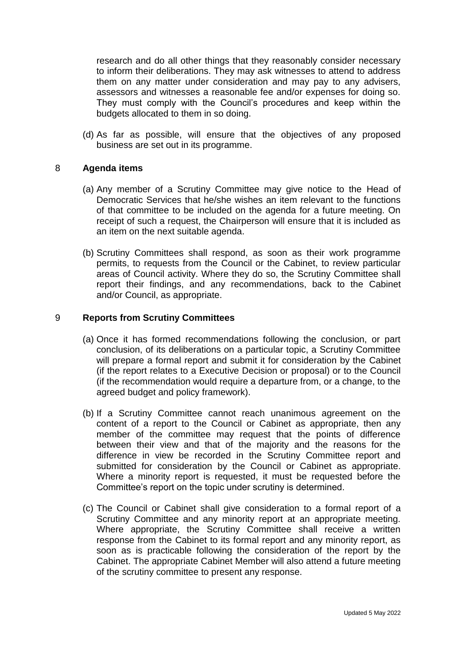research and do all other things that they reasonably consider necessary to inform their deliberations. They may ask witnesses to attend to address them on any matter under consideration and may pay to any advisers, assessors and witnesses a reasonable fee and/or expenses for doing so. They must comply with the Council's procedures and keep within the budgets allocated to them in so doing.

(d) As far as possible, will ensure that the objectives of any proposed business are set out in its programme.

## 8 **Agenda items**

- (a) Any member of a Scrutiny Committee may give notice to the Head of Democratic Services that he/she wishes an item relevant to the functions of that committee to be included on the agenda for a future meeting. On receipt of such a request, the Chairperson will ensure that it is included as an item on the next suitable agenda.
- (b) Scrutiny Committees shall respond, as soon as their work programme permits, to requests from the Council or the Cabinet, to review particular areas of Council activity. Where they do so, the Scrutiny Committee shall report their findings, and any recommendations, back to the Cabinet and/or Council, as appropriate.

## 9 **Reports from Scrutiny Committees**

- (a) Once it has formed recommendations following the conclusion, or part conclusion, of its deliberations on a particular topic, a Scrutiny Committee will prepare a formal report and submit it for consideration by the Cabinet (if the report relates to a Executive Decision or proposal) or to the Council (if the recommendation would require a departure from, or a change, to the agreed budget and policy framework).
- (b) If a Scrutiny Committee cannot reach unanimous agreement on the content of a report to the Council or Cabinet as appropriate, then any member of the committee may request that the points of difference between their view and that of the majority and the reasons for the difference in view be recorded in the Scrutiny Committee report and submitted for consideration by the Council or Cabinet as appropriate. Where a minority report is requested, it must be requested before the Committee's report on the topic under scrutiny is determined.
- (c) The Council or Cabinet shall give consideration to a formal report of a Scrutiny Committee and any minority report at an appropriate meeting. Where appropriate, the Scrutiny Committee shall receive a written response from the Cabinet to its formal report and any minority report, as soon as is practicable following the consideration of the report by the Cabinet. The appropriate Cabinet Member will also attend a future meeting of the scrutiny committee to present any response.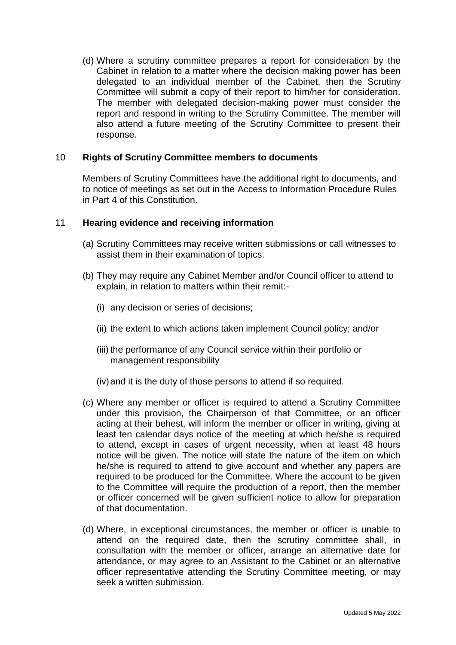(d) Where a scrutiny committee prepares a report for consideration by the Cabinet in relation to a matter where the decision making power has been delegated to an individual member of the Cabinet, then the Scrutiny Committee will submit a copy of their report to him/her for consideration. The member with delegated decision-making power must consider the report and respond in writing to the Scrutiny Committee. The member will also attend a future meeting of the Scrutiny Committee to present their response.

## 10 **Rights of Scrutiny Committee members to documents**

Members of Scrutiny Committees have the additional right to documents, and to notice of meetings as set out in the Access to Information Procedure Rules in Part 4 of this Constitution.

## 11 **Hearing evidence and receiving information**

- (a) Scrutiny Committees may receive written submissions or call witnesses to assist them in their examination of topics.
- (b) They may require any Cabinet Member and/or Council officer to attend to explain, in relation to matters within their remit:-
	- (i) any decision or series of decisions;
	- (ii) the extent to which actions taken implement Council policy; and/or
	- (iii) the performance of any Council service within their portfolio or management responsibility
	- (iv)and it is the duty of those persons to attend if so required.
- (c) Where any member or officer is required to attend a Scrutiny Committee under this provision, the Chairperson of that Committee, or an officer acting at their behest, will inform the member or officer in writing, giving at least ten calendar days notice of the meeting at which he/she is required to attend, except in cases of urgent necessity, when at least 48 hours notice will be given. The notice will state the nature of the item on which he/she is required to attend to give account and whether any papers are required to be produced for the Committee. Where the account to be given to the Committee will require the production of a report, then the member or officer concerned will be given sufficient notice to allow for preparation of that documentation.
- (d) Where, in exceptional circumstances, the member or officer is unable to attend on the required date, then the scrutiny committee shall, in consultation with the member or officer, arrange an alternative date for attendance, or may agree to an Assistant to the Cabinet or an alternative officer representative attending the Scrutiny Committee meeting, or may seek a written submission.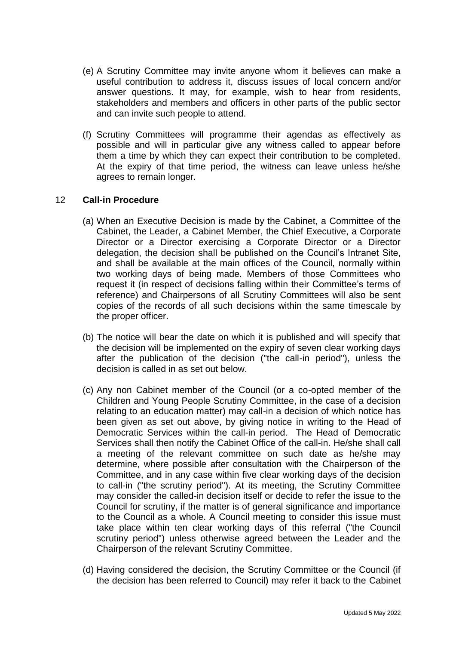- (e) A Scrutiny Committee may invite anyone whom it believes can make a useful contribution to address it, discuss issues of local concern and/or answer questions. It may, for example, wish to hear from residents, stakeholders and members and officers in other parts of the public sector and can invite such people to attend.
- (f) Scrutiny Committees will programme their agendas as effectively as possible and will in particular give any witness called to appear before them a time by which they can expect their contribution to be completed. At the expiry of that time period, the witness can leave unless he/she agrees to remain longer.

# 12 **Call-in Procedure**

- (a) When an Executive Decision is made by the Cabinet, a Committee of the Cabinet, the Leader, a Cabinet Member, the Chief Executive, a Corporate Director or a Director exercising a Corporate Director or a Director delegation, the decision shall be published on the Council's Intranet Site, and shall be available at the main offices of the Council, normally within two working days of being made. Members of those Committees who request it (in respect of decisions falling within their Committee's terms of reference) and Chairpersons of all Scrutiny Committees will also be sent copies of the records of all such decisions within the same timescale by the proper officer.
- (b) The notice will bear the date on which it is published and will specify that the decision will be implemented on the expiry of seven clear working days after the publication of the decision ("the call-in period"), unless the decision is called in as set out below.
- (c) Any non Cabinet member of the Council (or a co-opted member of the Children and Young People Scrutiny Committee, in the case of a decision relating to an education matter) may call-in a decision of which notice has been given as set out above, by giving notice in writing to the Head of Democratic Services within the call-in period. The Head of Democratic Services shall then notify the Cabinet Office of the call-in. He/she shall call a meeting of the relevant committee on such date as he/she may determine, where possible after consultation with the Chairperson of the Committee, and in any case within five clear working days of the decision to call-in ("the scrutiny period"). At its meeting, the Scrutiny Committee may consider the called-in decision itself or decide to refer the issue to the Council for scrutiny, if the matter is of general significance and importance to the Council as a whole. A Council meeting to consider this issue must take place within ten clear working days of this referral ("the Council scrutiny period") unless otherwise agreed between the Leader and the Chairperson of the relevant Scrutiny Committee.
- (d) Having considered the decision, the Scrutiny Committee or the Council (if the decision has been referred to Council) may refer it back to the Cabinet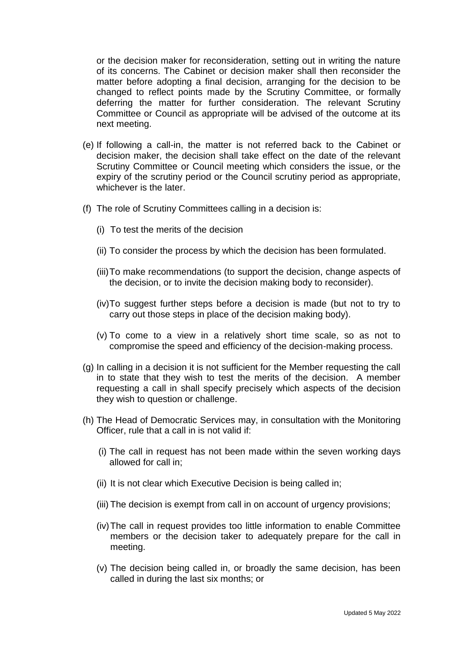or the decision maker for reconsideration, setting out in writing the nature of its concerns. The Cabinet or decision maker shall then reconsider the matter before adopting a final decision, arranging for the decision to be changed to reflect points made by the Scrutiny Committee, or formally deferring the matter for further consideration. The relevant Scrutiny Committee or Council as appropriate will be advised of the outcome at its next meeting.

- (e) If following a call-in, the matter is not referred back to the Cabinet or decision maker, the decision shall take effect on the date of the relevant Scrutiny Committee or Council meeting which considers the issue, or the expiry of the scrutiny period or the Council scrutiny period as appropriate, whichever is the later.
- (f) The role of Scrutiny Committees calling in a decision is:
	- (i) To test the merits of the decision
	- (ii) To consider the process by which the decision has been formulated.
	- (iii)To make recommendations (to support the decision, change aspects of the decision, or to invite the decision making body to reconsider).
	- (iv)To suggest further steps before a decision is made (but not to try to carry out those steps in place of the decision making body).
	- (v) To come to a view in a relatively short time scale, so as not to compromise the speed and efficiency of the decision-making process.
- (g) In calling in a decision it is not sufficient for the Member requesting the call in to state that they wish to test the merits of the decision. A member requesting a call in shall specify precisely which aspects of the decision they wish to question or challenge.
- (h) The Head of Democratic Services may, in consultation with the Monitoring Officer, rule that a call in is not valid if:
	- (i) The call in request has not been made within the seven working days allowed for call in;
	- (ii) It is not clear which Executive Decision is being called in;
	- (iii) The decision is exempt from call in on account of urgency provisions;
	- (iv)The call in request provides too little information to enable Committee members or the decision taker to adequately prepare for the call in meeting.
	- (v) The decision being called in, or broadly the same decision, has been called in during the last six months; or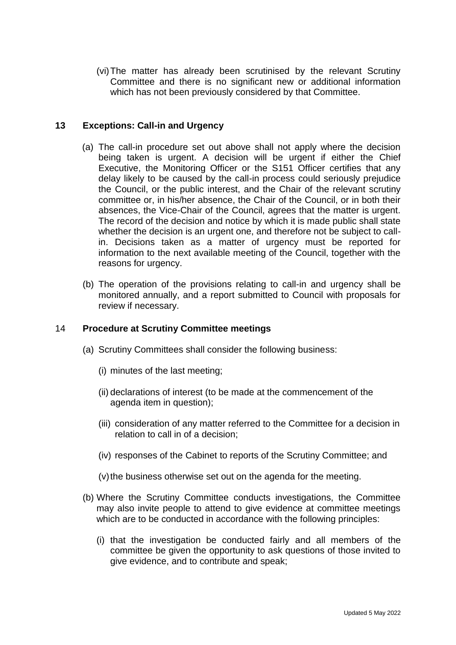(vi)The matter has already been scrutinised by the relevant Scrutiny Committee and there is no significant new or additional information which has not been previously considered by that Committee.

# **13 Exceptions: Call-in and Urgency**

- (a) The call-in procedure set out above shall not apply where the decision being taken is urgent. A decision will be urgent if either the Chief Executive, the Monitoring Officer or the S151 Officer certifies that any delay likely to be caused by the call-in process could seriously prejudice the Council, or the public interest, and the Chair of the relevant scrutiny committee or, in his/her absence, the Chair of the Council, or in both their absences, the Vice-Chair of the Council, agrees that the matter is urgent. The record of the decision and notice by which it is made public shall state whether the decision is an urgent one, and therefore not be subject to callin. Decisions taken as a matter of urgency must be reported for information to the next available meeting of the Council, together with the reasons for urgency.
- (b) The operation of the provisions relating to call-in and urgency shall be monitored annually, and a report submitted to Council with proposals for review if necessary.

# 14 **Procedure at Scrutiny Committee meetings**

- (a) Scrutiny Committees shall consider the following business:
	- (i) minutes of the last meeting;
	- (ii) declarations of interest (to be made at the commencement of the agenda item in question);
	- (iii) consideration of any matter referred to the Committee for a decision in relation to call in of a decision;
	- (iv) responses of the Cabinet to reports of the Scrutiny Committee; and
	- (v) the business otherwise set out on the agenda for the meeting.
- (b) Where the Scrutiny Committee conducts investigations, the Committee may also invite people to attend to give evidence at committee meetings which are to be conducted in accordance with the following principles:
	- (i) that the investigation be conducted fairly and all members of the committee be given the opportunity to ask questions of those invited to give evidence, and to contribute and speak;